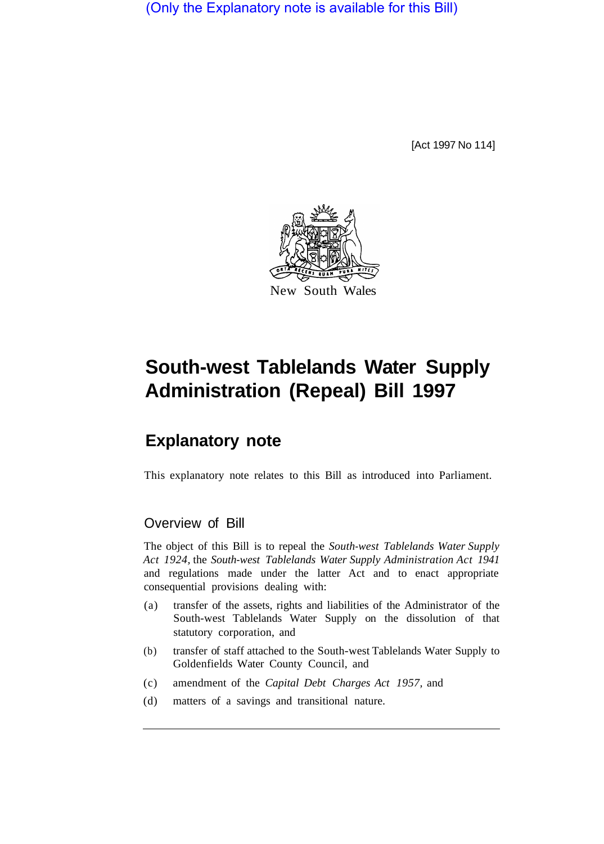(Only the Explanatory note is available for this Bill)

[Act 1997 No 114]



## **South-west Tablelands Water Supply Administration (Repeal) Bill 1997**

## **Explanatory note**

This explanatory note relates to this Bill as introduced into Parliament.

## Overview of Bill

The object of this Bill is to repeal the *South-west Tablelands Water Supply Act 1924,* the *South-west Tablelands Water Supply Administration Act 1941*  and regulations made under the latter Act and to enact appropriate consequential provisions dealing with:

- (a) transfer of the assets, rights and liabilities of the Administrator of the South-west Tablelands Water Supply on the dissolution of that statutory corporation, and
- (b) transfer of staff attached to the South-west Tablelands Water Supply to Goldenfields Water County Council, and
- (c) amendment of the *Capital Debt Charges Act 1957,* and
- (d) matters of a savings and transitional nature.